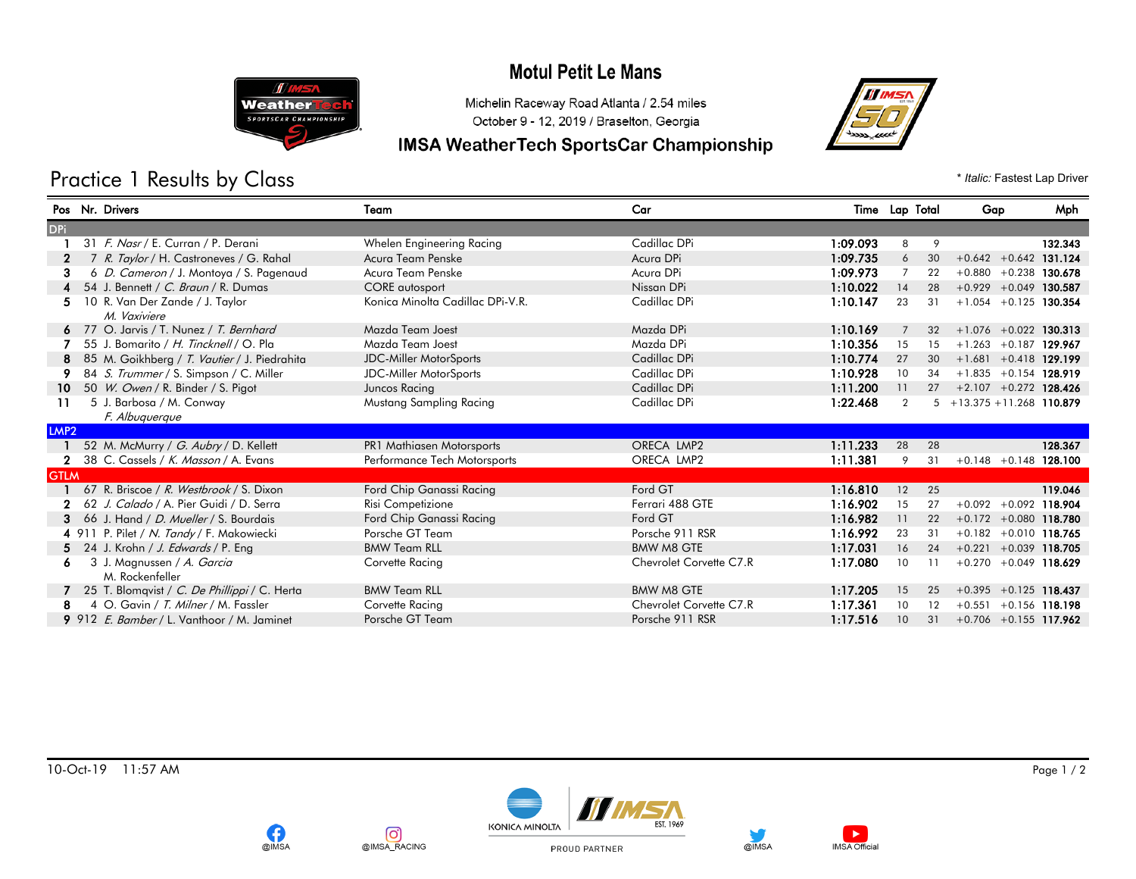## **Motul Petit Le Mans**



Michelin Raceway Road Atlanta / 2.54 miles October 9 - 12, 2019 / Braselton, Georgia

#### **IMSA WeatherTech SportsCar Championship**



Practice 1 Results by Class  $*$  *Italic:* Fastest Lap Driver

#### Pos Nr. Drivers Team Car Time Lap Total Gap Mph **DPi** 1 31 F. Nasr / E. Curran / P. Derani Whelen Engineering Racing Cadillac DPi 1:09.093 8 9 132.343 2 7 R. Taylor / H. Castroneves / G. Rahal Acura Team Penske Acura Deserted Acura DPi 1:09.735 6 30 +0.642 +0.642 131.124 3 6 D. Cameron / J. Montoya / S. Pagenaud Acura Team Penske Acura Desember Acura DPi 1:09.973 7 22 +0.880 +0.238 130.678 4 54 J. Bennett / C. Braun / R. Dumas CORE autosport CORE autosport Nissan DPi 1:10.022 14 28 +0.929 +0.049 130.587 5 10 R. Van Der Zande / J. Taylor Cannel Conica Minolta Cadillac DPi-V.R. Cadillac DPi 1:10.147 23 31 +1.054 +0.125 130.354 M. Vaxiviere 6 77 O. Jarvis / T. Nunez / *T. Bernhard* Mazda Team Joest Mazda DPi Mazda DPi 1:10.169 7 32 +1.076 +0.022 130.313 7 55 J. Bomarito / *H. Tincknell* / O. Pla Mazda Team Joest Mazda DPi Mazda DPi 1:10.356 15 15 +1.263 +0.187 1**29.967** 8 85 M. Goikhberg / T. Vautier / J. Piedrahita JDC-Miller MotorSports Cadillac DPi 1:10.774 27 30 +1.681 +0.418 129.199 9 84 S. Trummer / S. Simpson / C. Miller JDC-Miller MotorSports Cadillac DPi 1:10.928 10 34 +1.835 +0.154 128.919 10 50 W. Owen / R. Binder / S. Pigot Juncos Racing Juncos Racing Cadillac DPi 1:11.200 11 27 +2.107 +0.272 128.426 11 5 J. Barbosa / M. Conway 6 Mustang Sampling Racing Cadillac DPi 1:22.468 2 5 +13.375 +11.268 110.879 F. Albuquerque LMP2 1 52 M. McMurry / G. Aubry / D. Kellett **PR1 Mathiasen Motorsports** CRECA LMP2 1:11.233 28 28 28 128.367 2 38 C. Cassels / K. Masson / A. Evans Performance Tech Motorsports CRECA LMP2 1:11.381 9 31 +0.148 +0.148 128.100 **GTLM** 1 67 R. Briscoe / R. Westbrook / S. Dixon Ford Chip Ganassi Racing Ford GT 116.810 12 25 119.046 2 62 J. Calado / A. Pier Guidi / D. Serra Risi Competizione Risi Competizione Ferrari 488 GTE 1:16.902 15 27 +0.092 +0.092 118.904 3 66 J. Hand / D. Mueller / S. Bourdais Ford Chip Ganassi Racing Ford GT 1:16.982 11 22 +0.172 +0.080 118.780 4 911 P. Pilet / N. Tandy / F. Makowiecki Porsche GT Team Porsche 911 RSR 1:16.992 23 31 +0.182 +0.010 118.765 5 24 J. Krohn / J. Edwards / P. Eng BMW Team RLL BMW Team RLL BMW M8 GTE 1:17.031 16 24 +0.221 +0.039 118.705 6 3 J. Magnussen / A. Garcia Corvette Racing Corvette Racing Chevrolet Corvette C7.R 1:17.080 10 11 +0.270 +0.049 118.629 M. Rockenfeller 7 25 T. Blomqvist / C. De Phillippi / C. Herta BMW Team RLL BMW M8 GTE 1:17.205 15 25 +0.395 +0.125 118.437 8 4 O. Gavin / T. Milner / M. Fassler Corvette Racing Corvette Racing Chevrolet Corvette C7.R 1:17.361 10 12 +0.551 +0.156 118.198 9 912 E. Bamber / L. Vanthoor / M. Jaminet Porsche GT Team Porsche 911 RSR 1:17.516 10 31 +0.706 +0.155 117.962

10-Oct-19 11:57 AM Page 1 / 2



രി

@IMSA RACING

**@IMSA**